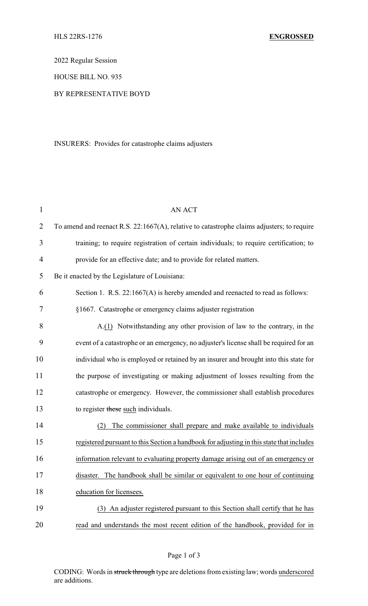2022 Regular Session

HOUSE BILL NO. 935

## BY REPRESENTATIVE BOYD

INSURERS: Provides for catastrophe claims adjusters

| $\mathbf{1}$   | <b>AN ACT</b>                                                                              |
|----------------|--------------------------------------------------------------------------------------------|
| $\overline{2}$ | To amend and reenact R.S. 22:1667(A), relative to catastrophe claims adjusters; to require |
| 3              | training; to require registration of certain individuals; to require certification; to     |
| $\overline{4}$ | provide for an effective date; and to provide for related matters.                         |
| 5              | Be it enacted by the Legislature of Louisiana:                                             |
| 6              | Section 1. R.S. 22:1667(A) is hereby amended and reenacted to read as follows:             |
| 7              | §1667. Catastrophe or emergency claims adjuster registration                               |
| 8              | A.(1) Notwithstanding any other provision of law to the contrary, in the                   |
| 9              | event of a catastrophe or an emergency, no adjuster's license shall be required for an     |
| 10             | individual who is employed or retained by an insurer and brought into this state for       |
| 11             | the purpose of investigating or making adjustment of losses resulting from the             |
| 12             | catastrophe or emergency. However, the commissioner shall establish procedures             |
| 13             | to register these such individuals.                                                        |
| 14             | The commissioner shall prepare and make available to individuals<br>(2)                    |
| 15             | registered pursuant to this Section a handbook for adjusting in this state that includes   |
| 16             | information relevant to evaluating property damage arising out of an emergency or          |
| 17             | The handbook shall be similar or equivalent to one hour of continuing<br>disaster.         |
| 18             | education for licensees.                                                                   |
| 19             | (3) An adjuster registered pursuant to this Section shall certify that he has              |
| 20             | read and understands the most recent edition of the handbook, provided for in              |

CODING: Words in struck through type are deletions from existing law; words underscored are additions.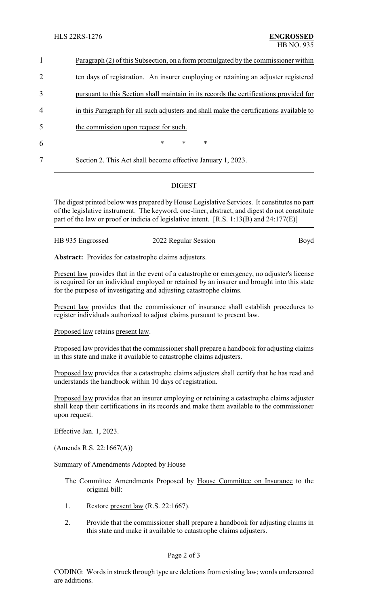| $\mathbf{1}$   | Paragraph (2) of this Subsection, on a form promulgated by the commissioner within      |
|----------------|-----------------------------------------------------------------------------------------|
| $\overline{2}$ | ten days of registration. An insurer employing or retaining an adjuster registered      |
| 3              | pursuant to this Section shall maintain in its records the certifications provided for  |
| $\overline{4}$ | in this Paragraph for all such adjusters and shall make the certifications available to |
| 5              | the commission upon request for such.                                                   |
| 6              | $\ast$<br>$\ast$<br>$\ast$                                                              |
| 7              | Section 2. This Act shall become effective January 1, 2023.                             |
|                |                                                                                         |

## DIGEST

The digest printed below was prepared by House Legislative Services. It constitutes no part of the legislative instrument. The keyword, one-liner, abstract, and digest do not constitute part of the law or proof or indicia of legislative intent. [R.S. 1:13(B) and 24:177(E)]

| HB 935 Engrossed | 2022 Regular Session | Boyd |
|------------------|----------------------|------|
|                  |                      |      |
|                  |                      |      |

**Abstract:** Provides for catastrophe claims adjusters.

Present law provides that in the event of a catastrophe or emergency, no adjuster's license is required for an individual employed or retained by an insurer and brought into this state for the purpose of investigating and adjusting catastrophe claims.

Present law provides that the commissioner of insurance shall establish procedures to register individuals authorized to adjust claims pursuant to present law.

Proposed law retains present law.

Proposed law provides that the commissioner shall prepare a handbook for adjusting claims in this state and make it available to catastrophe claims adjusters.

Proposed law provides that a catastrophe claims adjusters shall certify that he has read and understands the handbook within 10 days of registration.

Proposed law provides that an insurer employing or retaining a catastrophe claims adjuster shall keep their certifications in its records and make them available to the commissioner upon request.

Effective Jan. 1, 2023.

(Amends R.S. 22:1667(A))

Summary of Amendments Adopted by House

- The Committee Amendments Proposed by House Committee on Insurance to the original bill:
- 1. Restore present law (R.S. 22:1667).
- 2. Provide that the commissioner shall prepare a handbook for adjusting claims in this state and make it available to catastrophe claims adjusters.